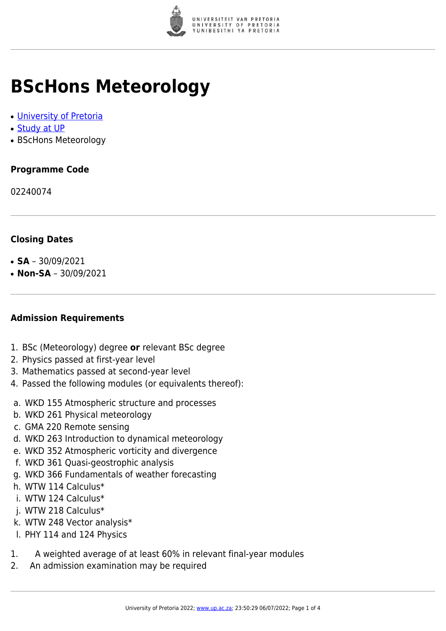

# **BScHons Meteorology**

- [University of Pretoria](https://www.up.ac.za/home)
- [Study at UP](https://www.up.ac.za/programmes)
- BScHons Meteorology

# **Programme Code**

02240074

# **Closing Dates**

- $\cdot$  **SA** 30/09/2021
- $\cdot$  **Non-SA** 30/09/2021

## **Admission Requirements**

- 1. BSc (Meteorology) degree **or** relevant BSc degree
- 2. Physics passed at first-year level
- 3. Mathematics passed at second-year level
- 4. Passed the following modules (or equivalents thereof):
- a. WKD 155 Atmospheric structure and processes
- b. WKD 261 Physical meteorology
- c. GMA 220 Remote sensing
- d. WKD 263 Introduction to dynamical meteorology
- e. WKD 352 Atmospheric vorticity and divergence
- f. WKD 361 Quasi-geostrophic analysis
- g. WKD 366 Fundamentals of weather forecasting
- h. WTW 114 Calculus\*
- i. WTW 124 Calculus\*
- j. WTW 218 Calculus\*
- k. WTW 248 Vector analysis\*
- l. PHY 114 and 124 Physics
- 1. A weighted average of at least 60% in relevant final-year modules
- 2. An admission examination may be required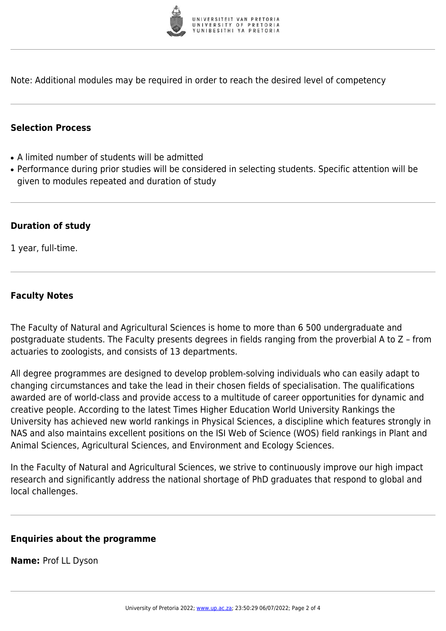

Note: Additional modules may be required in order to reach the desired level of competency

#### **Selection Process**

- A limited number of students will be admitted
- Performance during prior studies will be considered in selecting students. Specific attention will be given to modules repeated and duration of study

#### **Duration of study**

1 year, full-time.

#### **Faculty Notes**

The Faculty of Natural and Agricultural Sciences is home to more than 6 500 undergraduate and postgraduate students. The Faculty presents degrees in fields ranging from the proverbial A to Z – from actuaries to zoologists, and consists of 13 departments.

All degree programmes are designed to develop problem-solving individuals who can easily adapt to changing circumstances and take the lead in their chosen fields of specialisation. The qualifications awarded are of world-class and provide access to a multitude of career opportunities for dynamic and creative people. According to the latest Times Higher Education World University Rankings the University has achieved new world rankings in Physical Sciences, a discipline which features strongly in NAS and also maintains excellent positions on the ISI Web of Science (WOS) field rankings in Plant and Animal Sciences, Agricultural Sciences, and Environment and Ecology Sciences.

In the Faculty of Natural and Agricultural Sciences, we strive to continuously improve our high impact research and significantly address the national shortage of PhD graduates that respond to global and local challenges.

#### **Enquiries about the programme**

**Name:** Prof LL Dyson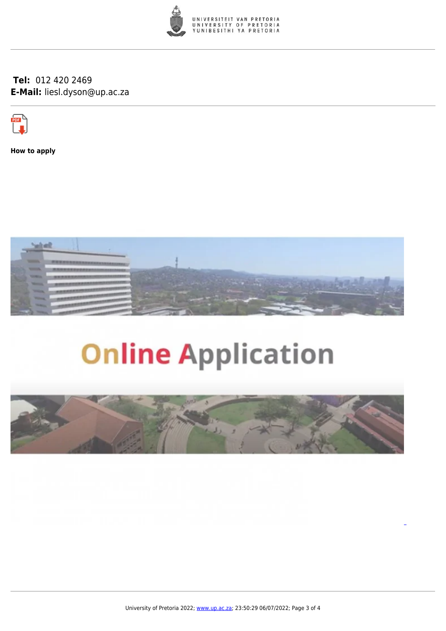

### **Tel:** 012 420 2469 **E-Mail:** liesl.dyson@up.ac.za



**How to apply**



# **Online Application**